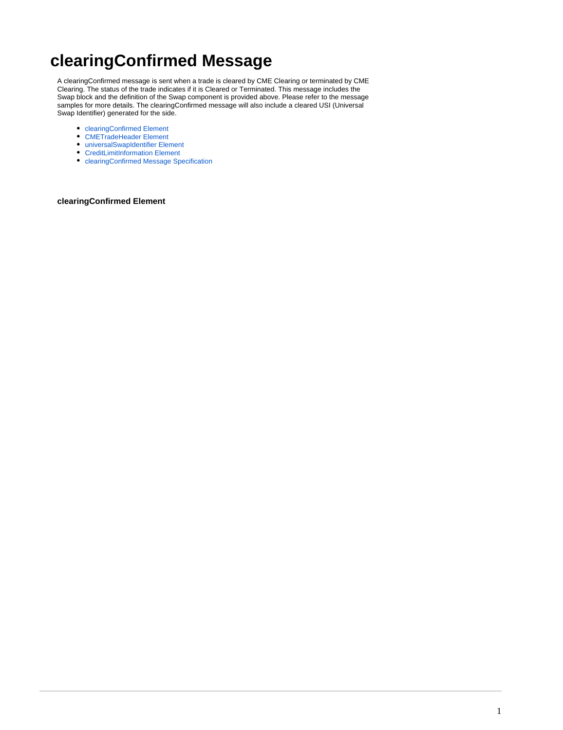# **clearingConfirmed Message**

A clearingConfirmed message is sent when a trade is cleared by CME Clearing or terminated by CME Clearing. The status of the trade indicates if it is Cleared or Terminated. This message includes the Swap block and the definition of the Swap component is provided above. Please refer to the message samples for more details. The clearingConfirmed message will also include a cleared USI (Universal Swap Identifier) generated for the side.

- [clearingConfirmed Element](#page-0-0)
- [CMETradeHeader Element](#page-1-0)
- [universalSwapIdentifier Element](#page-2-0)
- [CreditLimitInformation Element](#page-2-1)
- [clearingConfirmed Message Specification](#page-3-0)

#### <span id="page-0-0"></span>**clearingConfirmed Element**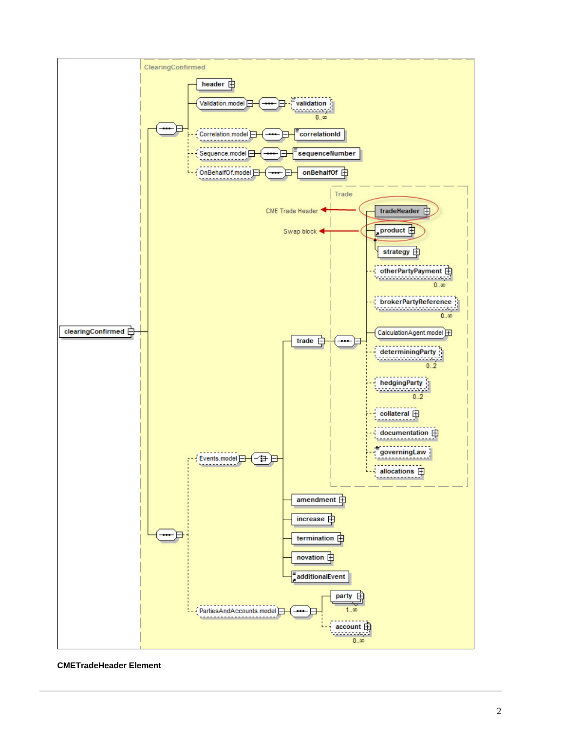

<span id="page-1-0"></span>**CMETradeHeader Element**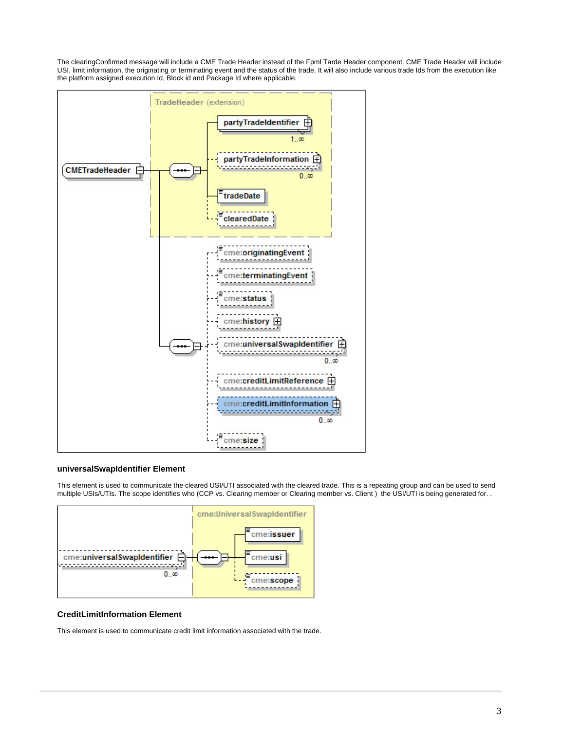The clearingConfirmed message will include a CME Trade Header instead of the Fpml Tarde Header component. CME Trade Header will include USI, limit information, the originating or terminating event and the status of the trade. It will also include various trade Ids from the execution like the platform assigned execution Id, Block id and Package Id where applicable.



#### <span id="page-2-0"></span>**universalSwapIdentifier Element**

This element is used to communicate the cleared USI/UTI associated with the cleared trade. This is a repeating group and can be used to send multiple USIs/UTIs. The scope identifies who (CCP vs. Clearing member or Clearing member vs. Client ) the USI/UTI is being generated for. .



### <span id="page-2-1"></span>**CreditLimitInformation Element**

This element is used to communicate credit limit information associated with the trade.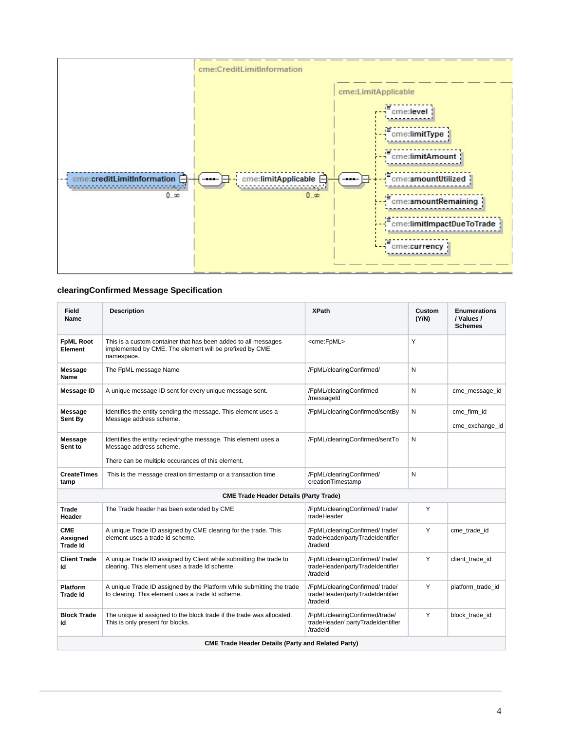

## <span id="page-3-0"></span>**clearingConfirmed Message Specification**

| <b>Field</b><br>Name                                      | <b>Description</b>                                                                                                                              | <b>XPath</b>                                                                   | Custom<br>(Y/N) | <b>Enumerations</b><br>/ Values /<br><b>Schemes</b> |  |
|-----------------------------------------------------------|-------------------------------------------------------------------------------------------------------------------------------------------------|--------------------------------------------------------------------------------|-----------------|-----------------------------------------------------|--|
| <b>FpML Root</b><br>Element                               | This is a custom container that has been added to all messages<br>implemented by CME. The element will be prefixed by CME<br>namespace.         | <cme:fpml></cme:fpml>                                                          | Y               |                                                     |  |
| <b>Message</b><br>Name                                    | The FpML message Name                                                                                                                           | /FpML/clearingConfirmed/                                                       | N               |                                                     |  |
| <b>Message ID</b>                                         | A unique message ID sent for every unique message sent.                                                                                         | /FpML/clearingConfirmed<br>/messageId                                          | N               | cme_message_id                                      |  |
| <b>Message</b><br>Sent By                                 | Identifies the entity sending the message. This element uses a<br>Message address scheme.                                                       | /FpML/clearingConfirmed/sentBy                                                 | N               | cme firm id<br>cme exchange id                      |  |
| <b>Message</b><br>Sent to                                 | Identifies the entity recievingthe message. This element uses a<br>Message address scheme.<br>There can be multiple occurances of this element. | /FpML/clearingConfirmed/sentTo                                                 | N               |                                                     |  |
| <b>CreateTimes</b><br>tamp                                | This is the message creation timestamp or a transaction time                                                                                    | /FpML/clearingConfirmed/<br>creationTimestamp                                  | N               |                                                     |  |
| <b>CME Trade Header Details (Party Trade)</b>             |                                                                                                                                                 |                                                                                |                 |                                                     |  |
| Trade<br>Header                                           | The Trade header has been extended by CME                                                                                                       | /FpML/clearingConfirmed/trade/<br>tradeHeader                                  | Y               |                                                     |  |
| <b>CME</b><br><b>Assigned</b><br><b>Trade Id</b>          | A unique Trade ID assigned by CME clearing for the trade. This<br>element uses a trade id scheme.                                               | /FpML/clearingConfirmed/trade/<br>tradeHeader/partyTradeIdentifier<br>/tradeld | Y               | cme_trade_id                                        |  |
| <b>Client Trade</b><br>ld                                 | A unique Trade ID assigned by Client while submitting the trade to<br>clearing. This element uses a trade Id scheme.                            | /FpML/clearingConfirmed/trade/<br>tradeHeader/partyTradeIdentifier<br>/tradeld | Y               | client_trade_id                                     |  |
| <b>Platform</b><br><b>Trade Id</b>                        | A unique Trade ID assigned by the Platform while submitting the trade<br>to clearing. This element uses a trade Id scheme.                      | /FpML/clearingConfirmed/trade/<br>tradeHeader/partyTradeIdentifier<br>/tradeld | Y               | platform_trade_id                                   |  |
| <b>Block Trade</b><br>Id                                  | The unique id assigned to the block trade if the trade was allocated.<br>This is only present for blocks.                                       | /FpML/clearingConfirmed/trade/<br>tradeHeader/partyTradeIdentifier<br>/tradeld | Y               | block trade id                                      |  |
| <b>CME Trade Header Details (Party and Related Party)</b> |                                                                                                                                                 |                                                                                |                 |                                                     |  |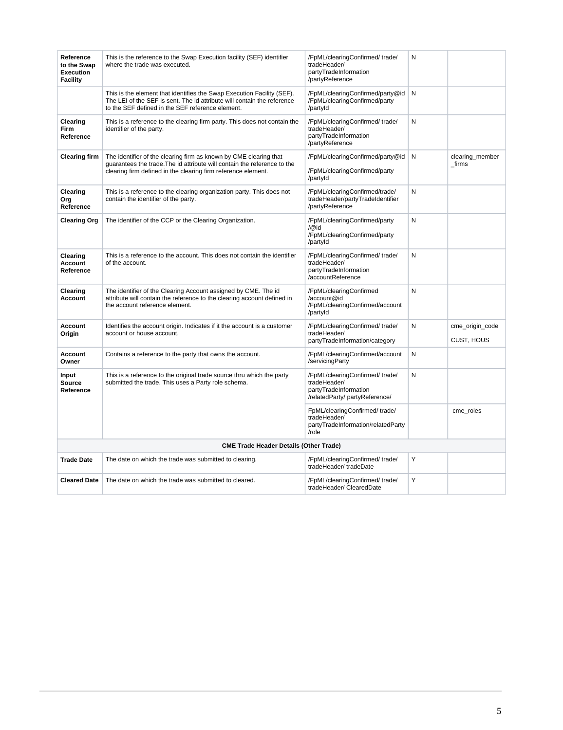| Reference<br>to the Swap<br><b>Execution</b><br>Facility | This is the reference to the Swap Execution facility (SEF) identifier<br>where the trade was executed.                                                                                                         | /FpML/clearingConfirmed/trade/<br>tradeHeader/<br>partyTradeInformation<br>/partyReference                | N |                               |
|----------------------------------------------------------|----------------------------------------------------------------------------------------------------------------------------------------------------------------------------------------------------------------|-----------------------------------------------------------------------------------------------------------|---|-------------------------------|
|                                                          | This is the element that identifies the Swap Execution Facility (SEF).<br>The LEI of the SEF is sent. The id attribute will contain the reference<br>to the SEF defined in the SEF reference element.          | /FpML/clearingConfirmed/party@id<br>/FpML/clearingConfirmed/party<br>/partyId                             | N |                               |
| Clearing<br>Firm<br>Reference                            | This is a reference to the clearing firm party. This does not contain the<br>identifier of the party.                                                                                                          | /FpML/clearingConfirmed/trade/<br>tradeHeader/<br>partyTradeInformation<br>/partyReference                | N |                               |
| <b>Clearing firm</b>                                     | The identifier of the clearing firm as known by CME clearing that<br>guarantees the trade. The id attribute will contain the reference to the<br>clearing firm defined in the clearing firm reference element. | /FpML/clearingConfirmed/party@id<br>/FpML/clearingConfirmed/party<br>/partyId                             | N | clearing_member<br>_firms     |
| Clearing<br>Org<br>Reference                             | This is a reference to the clearing organization party. This does not<br>contain the identifier of the party.                                                                                                  | /FpML/clearingConfirmed/trade/<br>tradeHeader/partyTradeIdentifier<br>/partvReference                     | N |                               |
| <b>Clearing Org</b>                                      | The identifier of the CCP or the Clearing Organization.                                                                                                                                                        | /FpML/clearingConfirmed/party<br>$\sqrt{\omega}$ id<br>/FpML/clearingConfirmed/party<br>/partyId          | N |                               |
| Clearing<br>Account<br>Reference                         | This is a reference to the account. This does not contain the identifier<br>of the account.                                                                                                                    | /FpML/clearingConfirmed/trade/<br>tradeHeader/<br>partyTradeInformation<br>/accountReference              | N |                               |
| Clearing<br>Account                                      | The identifier of the Clearing Account assigned by CME. The id<br>attribute will contain the reference to the clearing account defined in<br>the account reference element.                                    | /FpML/clearingConfirmed<br>/account@id<br>/FpML/clearingConfirmed/account<br>/partyId                     | N |                               |
| Account<br>Origin                                        | Identifies the account origin. Indicates if it the account is a customer<br>account or house account.                                                                                                          | /FpML/clearingConfirmed/trade/<br>tradeHeader/<br>partyTradeInformation/category                          | N | cme_origin_code<br>CUST, HOUS |
| Account<br>Owner                                         | Contains a reference to the party that owns the account.                                                                                                                                                       | /FpML/clearingConfirmed/account<br>/servicingParty                                                        | N |                               |
| Input<br><b>Source</b><br>Reference                      | This is a reference to the original trade source thru which the party<br>submitted the trade. This uses a Party role schema.                                                                                   | /FpML/clearingConfirmed/trade/<br>tradeHeader/<br>partyTradeInformation<br>/relatedParty/ partyReference/ | N |                               |
|                                                          |                                                                                                                                                                                                                | FpML/clearingConfirmed/trade/<br>tradeHeader/<br>partyTradeInformation/relatedParty<br>/role              |   | cme_roles                     |
| <b>CME Trade Header Details (Other Trade)</b>            |                                                                                                                                                                                                                |                                                                                                           |   |                               |
| <b>Trade Date</b>                                        | The date on which the trade was submitted to clearing.                                                                                                                                                         | /FpML/clearingConfirmed/trade/<br>tradeHeader/tradeDate                                                   | Υ |                               |
| <b>Cleared Date</b>                                      | The date on which the trade was submitted to cleared.                                                                                                                                                          | /FpML/clearingConfirmed/trade/<br>tradeHeader/ ClearedDate                                                | Y |                               |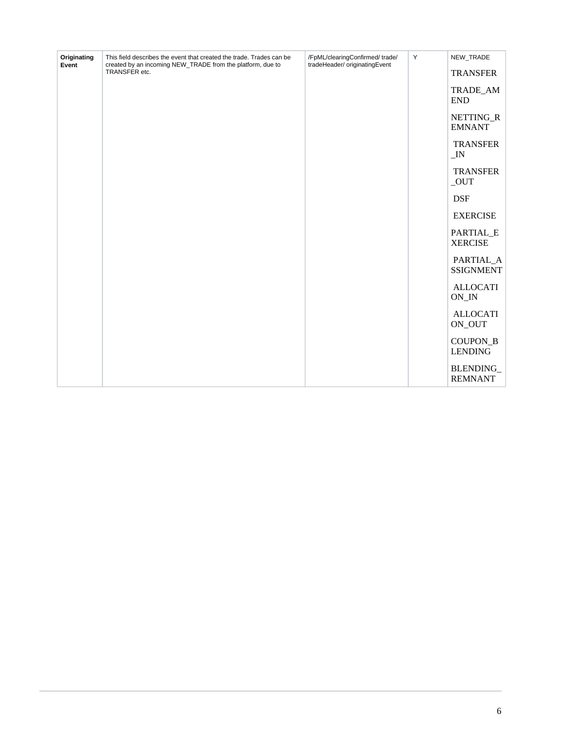| Originating<br>Event | This field describes the event that created the trade. Trades can be<br>created by an incoming NEW_TRADE from the platform, due to | /FpML/clearingConfirmed/trade/<br>tradeHeader/ originatingEvent | Y | NEW_TRADE                             |
|----------------------|------------------------------------------------------------------------------------------------------------------------------------|-----------------------------------------------------------------|---|---------------------------------------|
|                      | TRANSFER etc.                                                                                                                      |                                                                 |   | <b>TRANSFER</b>                       |
|                      |                                                                                                                                    |                                                                 |   | TRADE_AM<br><b>END</b>                |
|                      |                                                                                                                                    |                                                                 |   | NETTING_R<br><b>EMNANT</b>            |
|                      |                                                                                                                                    |                                                                 |   | <b>TRANSFER</b><br>$\_IN$             |
|                      |                                                                                                                                    |                                                                 |   | <b>TRANSFER</b><br>$\_OUT$            |
|                      |                                                                                                                                    |                                                                 |   | <b>DSF</b>                            |
|                      |                                                                                                                                    |                                                                 |   | <b>EXERCISE</b>                       |
|                      |                                                                                                                                    |                                                                 |   | PARTIAL_E<br><b>XERCISE</b>           |
|                      |                                                                                                                                    |                                                                 |   | PARTIAL_A<br><b>SSIGNMENT</b>         |
|                      |                                                                                                                                    |                                                                 |   | <b>ALLOCATI</b><br>$ON$ <sub>IN</sub> |
|                      |                                                                                                                                    |                                                                 |   | <b>ALLOCATI</b><br>ON_OUT             |
|                      |                                                                                                                                    |                                                                 |   | COUPON_B<br><b>LENDING</b>            |
|                      |                                                                                                                                    |                                                                 |   | BLENDING_<br><b>REMNANT</b>           |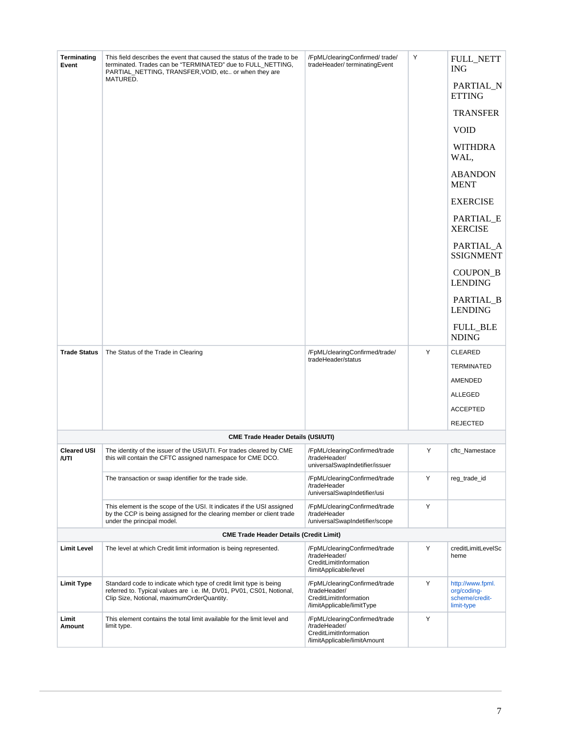| Terminating<br>Event                           | This field describes the event that caused the status of the trade to be<br>terminated. Trades can be "TERMINATED" due to FULL NETTING,<br>PARTIAL_NETTING, TRANSFER, VOID, etc or when they are | /FpML/clearingConfirmed/trade/<br>tradeHeader/terminatingEvent                                           | Υ | <b>FULL_NETT</b><br><b>ING</b>                                  |  |  |
|------------------------------------------------|--------------------------------------------------------------------------------------------------------------------------------------------------------------------------------------------------|----------------------------------------------------------------------------------------------------------|---|-----------------------------------------------------------------|--|--|
|                                                | MATURED.                                                                                                                                                                                         |                                                                                                          |   | PARTIAL_N<br><b>ETTING</b>                                      |  |  |
|                                                |                                                                                                                                                                                                  |                                                                                                          |   | <b>TRANSFER</b>                                                 |  |  |
|                                                |                                                                                                                                                                                                  |                                                                                                          |   | <b>VOID</b>                                                     |  |  |
|                                                |                                                                                                                                                                                                  |                                                                                                          |   | <b>WITHDRA</b><br>WAL,                                          |  |  |
|                                                |                                                                                                                                                                                                  |                                                                                                          |   | <b>ABANDON</b><br><b>MENT</b>                                   |  |  |
|                                                |                                                                                                                                                                                                  |                                                                                                          |   | <b>EXERCISE</b>                                                 |  |  |
|                                                |                                                                                                                                                                                                  |                                                                                                          |   | PARTIAL_E<br><b>XERCISE</b>                                     |  |  |
|                                                |                                                                                                                                                                                                  |                                                                                                          |   | PARTIAL_A<br><b>SSIGNMENT</b>                                   |  |  |
|                                                |                                                                                                                                                                                                  |                                                                                                          |   | COUPON_B<br><b>LENDING</b>                                      |  |  |
|                                                |                                                                                                                                                                                                  |                                                                                                          |   | PARTIAL_B<br><b>LENDING</b>                                     |  |  |
|                                                |                                                                                                                                                                                                  |                                                                                                          |   | <b>FULL_BLE</b><br><b>NDING</b>                                 |  |  |
| <b>Trade Status</b>                            | The Status of the Trade in Clearing                                                                                                                                                              | /FpML/clearingConfirmed/trade/                                                                           | Υ | <b>CLEARED</b>                                                  |  |  |
|                                                |                                                                                                                                                                                                  | tradeHeader/status                                                                                       |   | TERMINATED                                                      |  |  |
|                                                |                                                                                                                                                                                                  |                                                                                                          |   | AMENDED                                                         |  |  |
|                                                |                                                                                                                                                                                                  |                                                                                                          |   | ALLEGED                                                         |  |  |
|                                                |                                                                                                                                                                                                  |                                                                                                          |   | <b>ACCEPTED</b>                                                 |  |  |
|                                                |                                                                                                                                                                                                  |                                                                                                          |   | <b>REJECTED</b>                                                 |  |  |
|                                                | <b>CME Trade Header Details (USI/UTI)</b>                                                                                                                                                        |                                                                                                          |   |                                                                 |  |  |
| <b>Cleared USI</b><br>/UTI                     | The identity of the issuer of the USI/UTI. For trades cleared by CME<br>this will contain the CFTC assigned namespace for CME DCO.                                                               | /FpML/clearingConfirmed/trade<br>/tradeHeader/<br>universalSwapIndetifier/issuer                         | Y | cftc_Namestace                                                  |  |  |
|                                                | The transaction or swap identifier for the trade side.                                                                                                                                           | /FpML/clearingConfirmed/trade<br>/tradeHeader<br>/universalSwapIndetifier/usi                            | Y | reg_trade_id                                                    |  |  |
|                                                | This element is the scope of the USI. It indicates if the USI assigned<br>by the CCP is being assigned for the clearing member or client trade<br>under the principal model.                     | /FpML/clearingConfirmed/trade<br>/tradeHeader<br>/universalSwapIndetifier/scope                          | Y |                                                                 |  |  |
| <b>CME Trade Header Details (Credit Limit)</b> |                                                                                                                                                                                                  |                                                                                                          |   |                                                                 |  |  |
| <b>Limit Level</b>                             | The level at which Credit limit information is being represented.                                                                                                                                | /FpML/clearingConfirmed/trade<br>/tradeHeader/<br>CreditLimitInformation<br>/limitApplicable/level       | Y | creditLimitLevelSc<br>heme                                      |  |  |
| <b>Limit Type</b>                              | Standard code to indicate which type of credit limit type is being<br>referred to. Typical values are i.e. IM, DV01, PV01, CS01, Notional,<br>Clip Size, Notional, maximumOrderQuantity.         | /FpML/clearingConfirmed/trade<br>/tradeHeader/<br>CreditLimitInformation<br>/limitApplicable/limitType   | Υ | http://www.fpml.<br>org/coding-<br>scheme/credit-<br>limit-type |  |  |
| Limit<br>Amount                                | This element contains the total limit available for the limit level and<br>limit type.                                                                                                           | /FpML/clearingConfirmed/trade<br>/tradeHeader/<br>CreditLimitInformation<br>/limitApplicable/limitAmount | Y |                                                                 |  |  |